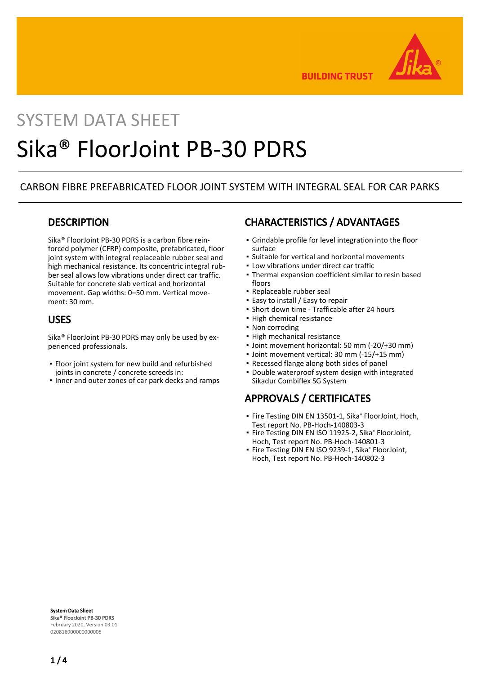

**BUILDING TRUST** 

# SYSTEM DATA SHEET Sika® FloorJoint PB-30 PDRS

## CARBON FIBRE PREFABRICATED FLOOR JOINT SYSTEM WITH INTEGRAL SEAL FOR CAR PARKS

#### **DESCRIPTION**

Sika® FloorJoint PB-30 PDRS is a carbon fibre reinforced polymer (CFRP) composite, prefabricated, floor joint system with integral replaceable rubber seal and high mechanical resistance. Its concentric integral rubber seal allows low vibrations under direct car traffic. Suitable for concrete slab vertical and horizontal movement. Gap widths: 0–50 mm. Vertical movement: 30 mm.

#### USES

Sika® FloorJoint PB-30 PDRS may only be used by experienced professionals.

- **•** Floor joint system for new build and refurbished joints in concrete / concrete screeds in:
- Inner and outer zones of car park decks and ramps

# CHARACTERISTICS / ADVANTAGES

- Grindable profile for level integration into the floor surface
- Suitable for vertical and horizontal movements
- Low vibrations under direct car traffic
- Thermal expansion coefficient similar to resin based floors
- Replaceable rubber seal
- Easy to install / Easy to repair
- Short down time Trafficable after 24 hours
- **· High chemical resistance**
- Non corroding
- High mechanical resistance
- Joint movement horizontal: 50 mm (-20/+30 mm)
- Joint movement vertical: 30 mm (-15/+15 mm)
- Recessed flange along both sides of panel
- **Double waterproof system design with integrated** Sikadur Combiflex SG System

# APPROVALS / CERTIFICATES

- **·** Fire Testing DIN EN 13501-1, Sika® FloorJoint, Hoch, Test report No. PB-Hoch-140803-3
- Fire Testing DIN EN ISO 11925-2, Sika® FloorJoint, Hoch, Test report No. PB-Hoch-140801-3
- Fire Testing DIN EN ISO 9239-1, Sika® FloorJoint, Hoch, Test report No. PB-Hoch-140802-3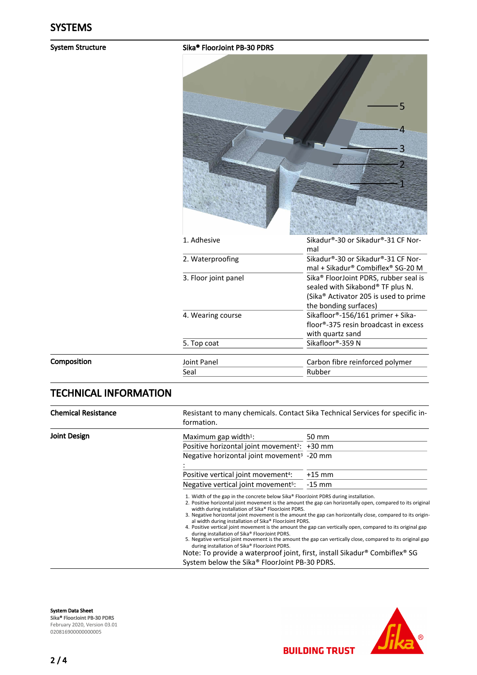#### System Structure Sika® FloorJoint PB-30 PDRS

|                      | 5                                                                                                                                                                   |
|----------------------|---------------------------------------------------------------------------------------------------------------------------------------------------------------------|
| 1. Adhesive          | Sikadur®-30 or Sikadur®-31 CF Nor-                                                                                                                                  |
|                      | mal                                                                                                                                                                 |
| 2. Waterproofing     | Sikadur®-30 or Sikadur®-31 CF Nor-<br>mal + Sikadur® Combiflex® SG-20 M                                                                                             |
| 3. Floor joint panel | Sika <sup>®</sup> FloorJoint PDRS, rubber seal is<br>sealed with Sikabond® TF plus N.<br>(Sika <sup>®</sup> Activator 205 is used to prime<br>the bonding surfaces) |
| 4. Wearing course    | Sikafloor®-156/161 primer + Sika-<br>floor®-375 resin broadcast in excess<br>with quartz sand                                                                       |
| 5. Top coat          | Sikafloor®-359 N                                                                                                                                                    |
| Joint Panel          | Carbon fibre reinforced polymer                                                                                                                                     |
| Seal                 | Rubber                                                                                                                                                              |

# TECHNICAL INFORMATION

Composition

| <b>Chemical Resistance</b><br>formation. |                                                                                                                                                                                                                                                                                                                                                                                                                                        | Resistant to many chemicals. Contact Sika Technical Services for specific in-                                                                                                                                                                                                                                                                                                                                                                            |
|------------------------------------------|----------------------------------------------------------------------------------------------------------------------------------------------------------------------------------------------------------------------------------------------------------------------------------------------------------------------------------------------------------------------------------------------------------------------------------------|----------------------------------------------------------------------------------------------------------------------------------------------------------------------------------------------------------------------------------------------------------------------------------------------------------------------------------------------------------------------------------------------------------------------------------------------------------|
| Joint Design                             | Maximum gap width $1$ :                                                                                                                                                                                                                                                                                                                                                                                                                | 50 mm                                                                                                                                                                                                                                                                                                                                                                                                                                                    |
|                                          | Positive horizontal joint movement <sup>2</sup> : +30 mm                                                                                                                                                                                                                                                                                                                                                                               |                                                                                                                                                                                                                                                                                                                                                                                                                                                          |
|                                          | Negative horizontal joint movement <sup>3</sup> -20 mm                                                                                                                                                                                                                                                                                                                                                                                 |                                                                                                                                                                                                                                                                                                                                                                                                                                                          |
|                                          | Positive vertical joint movement <sup>4</sup> :                                                                                                                                                                                                                                                                                                                                                                                        | $+15$ mm                                                                                                                                                                                                                                                                                                                                                                                                                                                 |
|                                          | Negative vertical joint movement <sup>5</sup> :                                                                                                                                                                                                                                                                                                                                                                                        | $-15$ mm                                                                                                                                                                                                                                                                                                                                                                                                                                                 |
|                                          | 1. Width of the gap in the concrete below Sika® FloorJoint PDRS during installation.<br>width during installation of Sika® FloorJoint PDRS.<br>al width during installation of Sika® FloorJoint PDRS.<br>during installation of Sika® FloorJoint PDRS.<br>during installation of Sika® FloorJoint PDRS.<br>Note: To provide a waterproof joint, first, install Sikadur® Combiflex® SG<br>System below the Sika® FloorJoint PB-30 PDRS. | 2. Positive horizontal joint movement is the amount the gap can horizontally open, compared to its origina<br>3. Negative horizontal joint movement is the amount the gap can horizontally close, compared to its origin-<br>4. Positive vertical joint movement is the amount the gap can vertically open, compared to its original gap<br>5. Negative vertical joint movement is the amount the gap can vertically close, compared to its original gap |

System Data Sheet Sika® FloorJoint PB-30 PDRS February 2020, Version 03.01 020816900000000005



**BUILDING TRUST**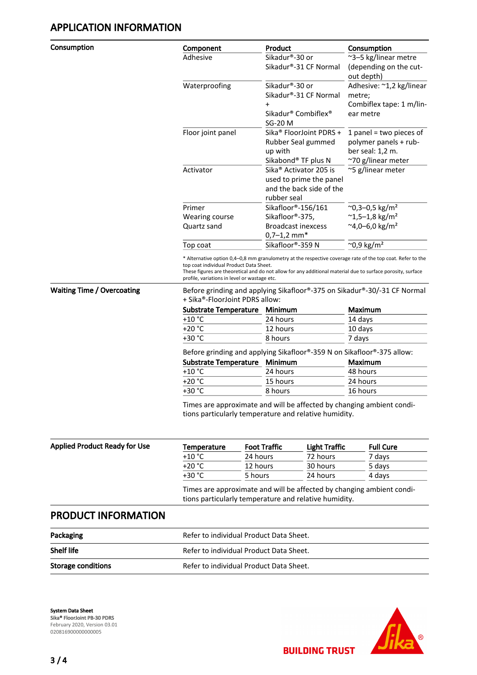**Consumption** 

| Component         | Product                              | Consumption                          |
|-------------------|--------------------------------------|--------------------------------------|
| Adhesive          | Sikadur®-30 or                       | ~3-5 kg/linear metre                 |
|                   | Sikadur®-31 CF Normal                | (depending on the cut-<br>out depth) |
| Waterproofing     | Sikadur®-30 or                       | Adhesive: ~1,2 kg/linear             |
|                   | Sikadur®-31 CF Normal                | metre;                               |
|                   | $\ddot{}$                            | Combiflex tape: 1 m/lin-             |
|                   | Sikadur® Combiflex®                  | ear metre                            |
|                   | SG-20 M                              |                                      |
| Floor joint panel | Sika <sup>®</sup> Floor Joint PDRS + | 1 panel = two pieces of              |
|                   | Rubber Seal gummed                   | polymer panels + rub-                |
|                   | up with                              | ber seal: 1,2 m.                     |
|                   | Sikabond® TF plus N                  | ~70 g/linear meter                   |
| Activator         | Sika <sup>®</sup> Activator 205 is   | ~5 g/linear meter                    |
|                   | used to prime the panel              |                                      |
|                   | and the back side of the             |                                      |
|                   | rubber seal                          |                                      |
| Primer            | Sikafloor®-156/161                   | $^{\sim}$ 0,3–0,5 kg/m <sup>2</sup>  |
| Wearing course    | Sikafloor®-375,                      | $~^{\sim}$ 1,5-1,8 kg/m <sup>2</sup> |
| Quartz sand       | <b>Broadcast inexcess</b>            | $^{\sim}$ 4,0-6,0 kg/m <sup>2</sup>  |
|                   | $0,7-1,2$ mm <sup>*</sup>            |                                      |
| Top coat          | Sikafloor®-359 N                     | $^{\sim}$ 0,9 kg/m <sup>2</sup>      |

\* Alternative option 0,4–0,8 mm granulometry at the respective coverage rate of the top coat. Refer to the top coat individual Product Data Sheet.

These figures are theoretical and do not allow for any additional material due to surface porosity, surface profile, variations in level or wastage etc.

Waiting Time / Overcoating Before grinding and applying Sikafloor®-375 on Sikadur®-30/-31 CF Normal + Sika®-FloorJoint PDRS allow:

| Substrate Temperature Minimum |          | Maximum |
|-------------------------------|----------|---------|
| $+10 °C$                      | 24 hours | 14 days |
| $+20 °C$                      | 12 hours | 10 days |
| $+30 °C$                      | 8 hours  | 7 days  |
|                               |          |         |

Before grinding and applying Sikafloor®-359 N on Sikafloor®-375 allow:

| Substrate Temperature Minimum |          | <b>Maximum</b> |
|-------------------------------|----------|----------------|
| +10 °C                        | 24 hours | 48 hours       |
| +20 °C                        | 15 hours | 24 hours       |
| +30 °C                        | 8 hours  | 16 hours       |
|                               |          |                |

Times are approximate and will be affected by changing ambient conditions particularly temperature and relative humidity.

| <b>Applied Product Ready for Use</b> | Temperature | <b>Foot Traffic</b> | Light Traffic | <b>Full Cure</b> |
|--------------------------------------|-------------|---------------------|---------------|------------------|
|                                      | $+10 °C$    | 24 hours            | 72 hours      | 7 davs           |
|                                      | $+20 °C$    | 12 hours            | 30 hours      | 5 days           |
|                                      | $+30 °C$    | 5 hours             | 24 hours      | 4 davs           |

Times are approximate and will be affected by changing ambient conditions particularly temperature and relative humidity.

**BUILDING TRUST** 

#### PRODUCT INFORMATION

| Packaging                 | Refer to individual Product Data Sheet. |
|---------------------------|-----------------------------------------|
| <b>Shelf life</b>         | Refer to individual Product Data Sheet. |
| <b>Storage conditions</b> | Refer to individual Product Data Sheet. |

System Data Sheet Sika® FloorJoint PB-30 PDRS February 2020, Version 03.01 020816900000000005